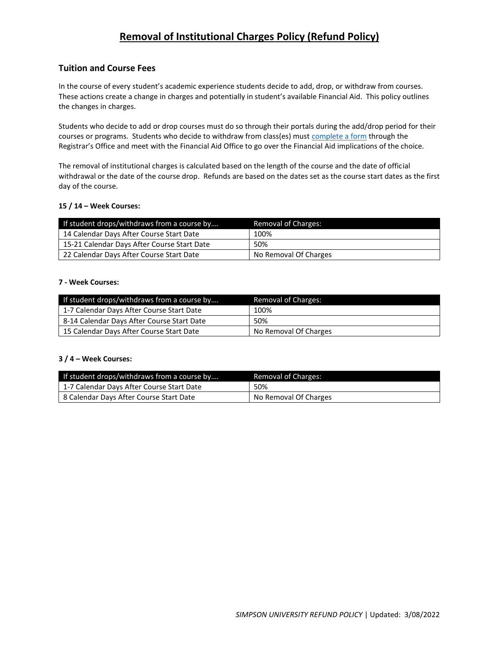# **Removal of Institutional Charges Policy (Refund Policy)**

# **Tuition and Course Fees**

In the course of every student's academic experience students decide to add, drop, or withdraw from courses. These actions create a change in charges and potentially in student's available Financial Aid. This policy outlines the changes in charges.

Students who decide to add or drop courses must do so through their portals during the add/drop period for their courses or programs. Students who decide to withdraw from class(es) must [complete a form](https://www.simpsonu.edu/Pages/About/Registrar/Forms.htm) through the Registrar's Office and meet with the Financial Aid Office to go over the Financial Aid implications of the choice.

The removal of institutional charges is calculated based on the length of the course and the date of official withdrawal or the date of the course drop. Refunds are based on the dates set as the course start dates as the first day of the course.

#### **15 / 14 – Week Courses:**

| If student drops/withdraws from a course by | <b>Removal of Charges:</b> |
|---------------------------------------------|----------------------------|
| 14 Calendar Days After Course Start Date    | 100%                       |
| 15-21 Calendar Days After Course Start Date | 50%                        |
| 22 Calendar Days After Course Start Date    | No Removal Of Charges      |

#### **7 - Week Courses:**

| If student drops/withdraws from a course by | Removal of Charges:   |
|---------------------------------------------|-----------------------|
| 1-7 Calendar Days After Course Start Date   | 100%                  |
| 8-14 Calendar Days After Course Start Date  | 50%                   |
| 15 Calendar Days After Course Start Date    | No Removal Of Charges |

## **3 / 4 – Week Courses:**

| If student drops/withdraws from a course by | Removal of Charges:   |
|---------------------------------------------|-----------------------|
| 1-7 Calendar Days After Course Start Date   | 50%                   |
| 8 Calendar Days After Course Start Date     | No Removal Of Charges |